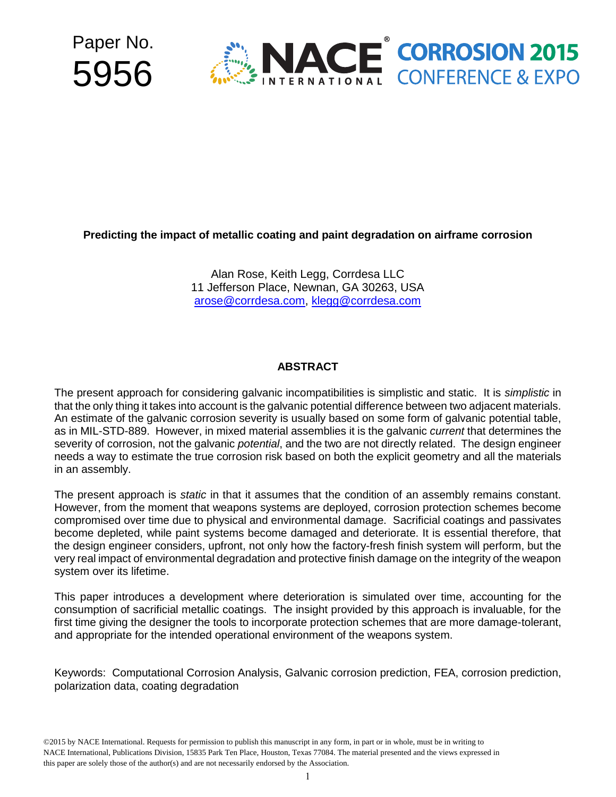



## **Predicting the impact of metallic coating and paint degradation on airframe corrosion**

Alan Rose, Keith Legg, Corrdesa LLC 11 Jefferson Place, Newnan, GA 30263, USA arose@corrdesa.com, klegg@corrdesa.com

## **ABSTRACT**

The present approach for considering galvanic incompatibilities is simplistic and static. It is *simplistic* in that the only thing it takes into account is the galvanic potential difference between two adjacent materials. An estimate of the galvanic corrosion severity is usually based on some form of galvanic potential table, as in MIL-STD-889. However, in mixed material assemblies it is the galvanic *current* that determines the severity of corrosion, not the galvanic *potential*, and the two are not directly related. The design engineer needs a way to estimate the true corrosion risk based on both the explicit geometry and all the materials in an assembly.

The present approach is *static* in that it assumes that the condition of an assembly remains constant. However, from the moment that weapons systems are deployed, corrosion protection schemes become compromised over time due to physical and environmental damage. Sacrificial coatings and passivates become depleted, while paint systems become damaged and deteriorate. It is essential therefore, that the design engineer considers, upfront, not only how the factory-fresh finish system will perform, but the very real impact of environmental degradation and protective finish damage on the integrity of the weapon system over its lifetime.

This paper introduces a development where deterioration is simulated over time, accounting for the consumption of sacrificial metallic coatings. The insight provided by this approach is invaluable, for the first time giving the designer the tools to incorporate protection schemes that are more damage-tolerant, and appropriate for the intended operational environment of the weapons system.

Keywords: Computational Corrosion Analysis, Galvanic corrosion prediction, FEA, corrosion prediction, polarization data, coating degradation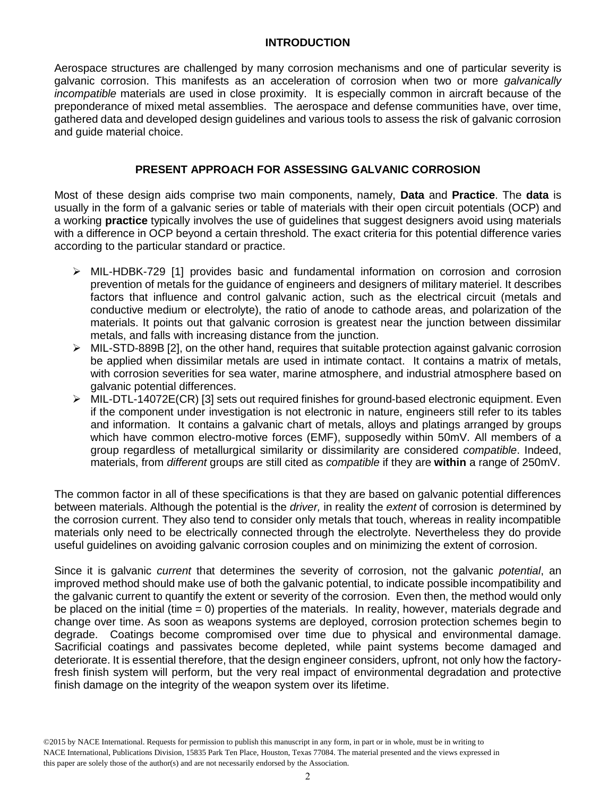#### **INTRODUCTION**

Aerospace structures are challenged by many corrosion mechanisms and one of particular severity is galvanic corrosion. This manifests as an acceleration of corrosion when two or more *galvanically incompatible* materials are used in close proximity. It is especially common in aircraft because of the preponderance of mixed metal assemblies. The aerospace and defense communities have, over time, gathered data and developed design guidelines and various tools to assess the risk of galvanic corrosion and guide material choice.

## **PRESENT APPROACH FOR ASSESSING GALVANIC CORROSION**

Most of these design aids comprise two main components, namely, **Data** and **Practice**. The **data** is usually in the form of a galvanic series or table of materials with their open circuit potentials (OCP) and a working **practice** typically involves the use of guidelines that suggest designers avoid using materials with a difference in OCP beyond a certain threshold. The exact criteria for this potential difference varies according to the particular standard or practice.

- $\triangleright$  MIL-HDBK-729 [1] provides basic and fundamental information on corrosion and corrosion prevention of metals for the guidance of engineers and designers of military materiel. It describes factors that influence and control galvanic action, such as the electrical circuit (metals and conductive medium or electrolyte), the ratio of anode to cathode areas, and polarization of the materials. It points out that galvanic corrosion is greatest near the junction between dissimilar metals, and falls with increasing distance from the junction.
- ▶ MIL-STD-889B [2], on the other hand, requires that suitable protection against galvanic corrosion be applied when dissimilar metals are used in intimate contact. It contains a matrix of metals, with corrosion severities for sea water, marine atmosphere, and industrial atmosphere based on galvanic potential differences.
- $\triangleright$  MIL-DTL-14072E(CR) [3] sets out required finishes for ground-based electronic equipment. Even if the component under investigation is not electronic in nature, engineers still refer to its tables and information. It contains a galvanic chart of metals, alloys and platings arranged by groups which have common electro-motive forces (EMF), supposedly within 50mV. All members of a group regardless of metallurgical similarity or dissimilarity are considered *compatible*. Indeed, materials, from *different* groups are still cited as *compatible* if they are **within** a range of 250mV.

The common factor in all of these specifications is that they are based on galvanic potential differences between materials. Although the potential is the *driver,* in reality the *extent* of corrosion is determined by the corrosion current. They also tend to consider only metals that touch, whereas in reality incompatible materials only need to be electrically connected through the electrolyte. Nevertheless they do provide useful guidelines on avoiding galvanic corrosion couples and on minimizing the extent of corrosion.

Since it is galvanic *current* that determines the severity of corrosion, not the galvanic *potential*, an improved method should make use of both the galvanic potential, to indicate possible incompatibility and the galvanic current to quantify the extent or severity of the corrosion. Even then, the method would only be placed on the initial (time = 0) properties of the materials. In reality, however, materials degrade and change over time. As soon as weapons systems are deployed, corrosion protection schemes begin to degrade. Coatings become compromised over time due to physical and environmental damage. Sacrificial coatings and passivates become depleted, while paint systems become damaged and deteriorate. It is essential therefore, that the design engineer considers, upfront, not only how the factoryfresh finish system will perform, but the very real impact of environmental degradation and protective finish damage on the integrity of the weapon system over its lifetime.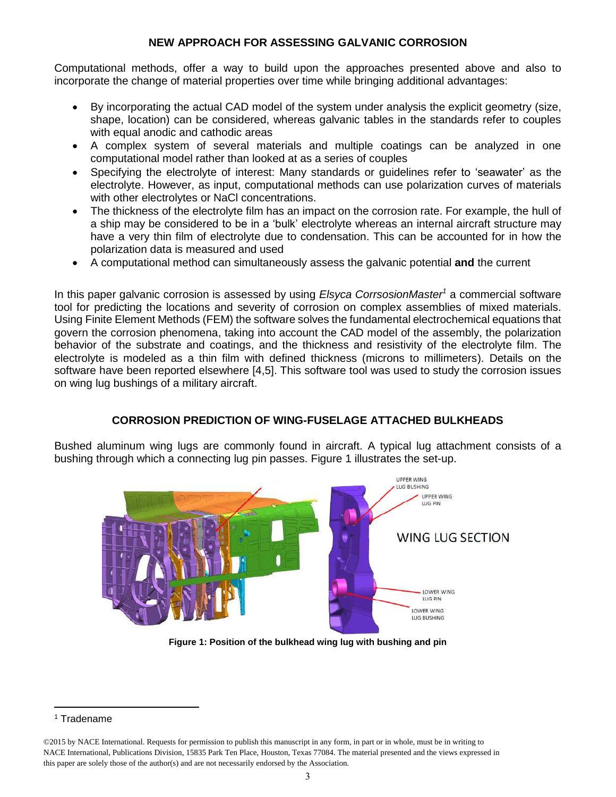## **NEW APPROACH FOR ASSESSING GALVANIC CORROSION**

Computational methods, offer a way to build upon the approaches presented above and also to incorporate the change of material properties over time while bringing additional advantages:

- By incorporating the actual CAD model of the system under analysis the explicit geometry (size, shape, location) can be considered, whereas galvanic tables in the standards refer to couples with equal anodic and cathodic areas
- A complex system of several materials and multiple coatings can be analyzed in one computational model rather than looked at as a series of couples
- Specifying the electrolyte of interest: Many standards or guidelines refer to 'seawater' as the electrolyte. However, as input, computational methods can use polarization curves of materials with other electrolytes or NaCl concentrations.
- The thickness of the electrolyte film has an impact on the corrosion rate. For example, the hull of a ship may be considered to be in a 'bulk' electrolyte whereas an internal aircraft structure may have a very thin film of electrolyte due to condensation. This can be accounted for in how the polarization data is measured and used
- A computational method can simultaneously assess the galvanic potential **and** the current

In this paper galvanic corrosion is assessed by using *Elsyca CorrsosionMaster<sup>1</sup>* a commercial software tool for predicting the locations and severity of corrosion on complex assemblies of mixed materials. Using Finite Element Methods (FEM) the software solves the fundamental electrochemical equations that govern the corrosion phenomena, taking into account the CAD model of the assembly, the polarization behavior of the substrate and coatings, and the thickness and resistivity of the electrolyte film. The electrolyte is modeled as a thin film with defined thickness (microns to millimeters). Details on the software have been reported elsewhere [4,5]. This software tool was used to study the corrosion issues on wing lug bushings of a military aircraft.

# **CORROSION PREDICTION OF WING-FUSELAGE ATTACHED BULKHEADS**

Bushed aluminum wing lugs are commonly found in aircraft. A typical lug attachment consists of a bushing through which a connecting lug pin passes. Figure 1 illustrates the set-up.



**Figure 1: Position of the bulkhead wing lug with bushing and pin** 

 $\overline{a}$ 1 Tradename

<sup>©2015</sup> by NACE International. Requests for permission to publish this manuscript in any form, in part or in whole, must be in writing to NACE International, Publications Division, 15835 Park Ten Place, Houston, Texas 77084. The material presented and the views expressed in this paper are solely those of the author(s) and are not necessarily endorsed by the Association.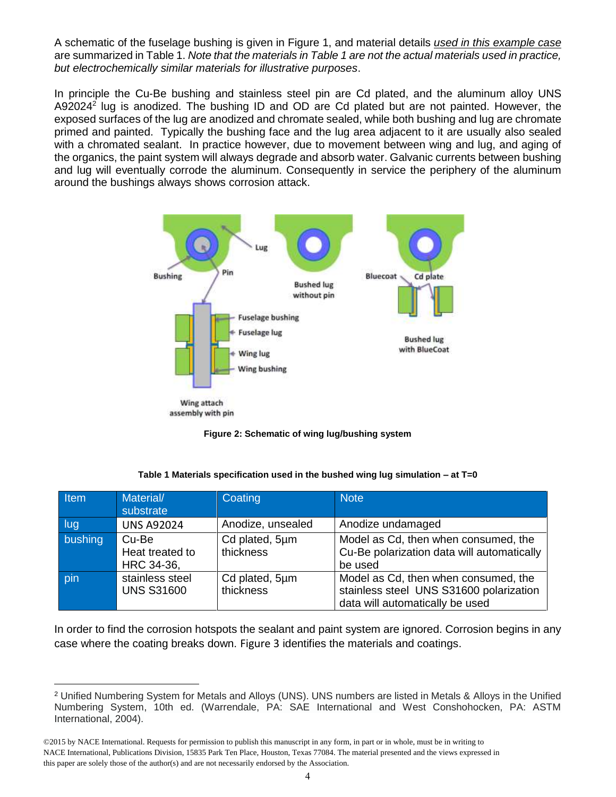A schematic of the fuselage bushing is given in Figure 1, and material details *used in this example case* are summarized in Table 1. *Note that the materials in Table 1 are not the actual materials used in practice, but electrochemically similar materials for illustrative purposes*.

In principle the Cu-Be bushing and stainless steel pin are Cd plated, and the aluminum alloy UNS A92024<sup>2</sup> lug is anodized. The bushing ID and OD are Cd plated but are not painted. However, the exposed surfaces of the lug are anodized and chromate sealed, while both bushing and lug are chromate primed and painted. Typically the bushing face and the lug area adjacent to it are usually also sealed with a chromated sealant. In practice however, due to movement between wing and lug, and aging of the organics, the paint system will always degrade and absorb water. Galvanic currents between bushing and lug will eventually corrode the aluminum. Consequently in service the periphery of the aluminum around the bushings always shows corrosion attack.



**Figure 2: Schematic of wing lug/bushing system**

**Table 1 Materials specification used in the bushed wing lug simulation – at T=0**

| Item    | Material/<br>substrate                 | Coating                     | <b>Note</b>                                                                                                        |
|---------|----------------------------------------|-----------------------------|--------------------------------------------------------------------------------------------------------------------|
| lug.    | <b>UNS A92024</b>                      | Anodize, unsealed           | Anodize undamaged                                                                                                  |
| bushing | Cu-Be<br>Heat treated to<br>HRC 34-36, | Cd plated, 5um<br>thickness | Model as Cd, then when consumed, the<br>Cu-Be polarization data will automatically<br>be used                      |
| pin     | stainless steel<br><b>UNS S31600</b>   | Cd plated, 5um<br>thickness | Model as Cd, then when consumed, the<br>stainless steel UNS S31600 polarization<br>data will automatically be used |

In order to find the corrosion hotspots the sealant and paint system are ignored. Corrosion begins in any case where the coating breaks down. Figure 3 identifies the materials and coatings.

 $\overline{a}$ <sup>2</sup> Unified Numbering System for Metals and Alloys (UNS). UNS numbers are listed in Metals & Alloys in the Unified Numbering System, 10th ed. (Warrendale, PA: SAE International and West Conshohocken, PA: ASTM International, 2004).

<sup>©2015</sup> by NACE International. Requests for permission to publish this manuscript in any form, in part or in whole, must be in writing to NACE International, Publications Division, 15835 Park Ten Place, Houston, Texas 77084. The material presented and the views expressed in this paper are solely those of the author(s) and are not necessarily endorsed by the Association.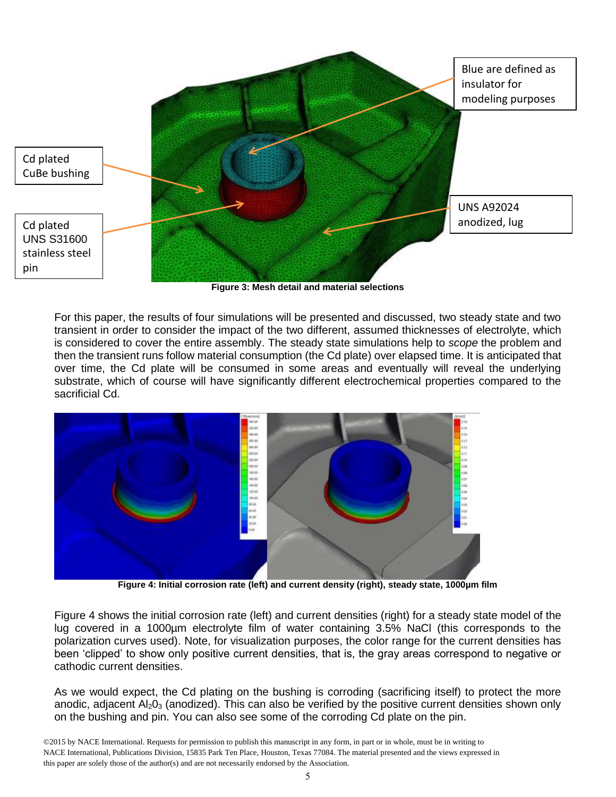

**Figure 3: Mesh detail and material selections**

For this paper, the results of four simulations will be presented and discussed, two steady state and two transient in order to consider the impact of the two different, assumed thicknesses of electrolyte, which is considered to cover the entire assembly. The steady state simulations help to *scope* the problem and then the transient runs follow material consumption (the Cd plate) over elapsed time. It is anticipated that over time, the Cd plate will be consumed in some areas and eventually will reveal the underlying substrate, which of course will have significantly different electrochemical properties compared to the sacrificial Cd.



**Figure 4: Initial corrosion rate (left) and current density (right), steady state, 1000µm film**

Figure 4 shows the initial corrosion rate (left) and current densities (right) for a steady state model of the lug covered in a 1000µm electrolyte film of water containing 3.5% NaCl (this corresponds to the polarization curves used). Note, for visualization purposes, the color range for the current densities has been 'clipped' to show only positive current densities, that is, the gray areas correspond to negative or cathodic current densities.

As we would expect, the Cd plating on the bushing is corroding (sacrificing itself) to protect the more anodic, adjacent  $A<sub>2</sub>O<sub>3</sub>$  (anodized). This can also be verified by the positive current densities shown only on the bushing and pin. You can also see some of the corroding Cd plate on the pin.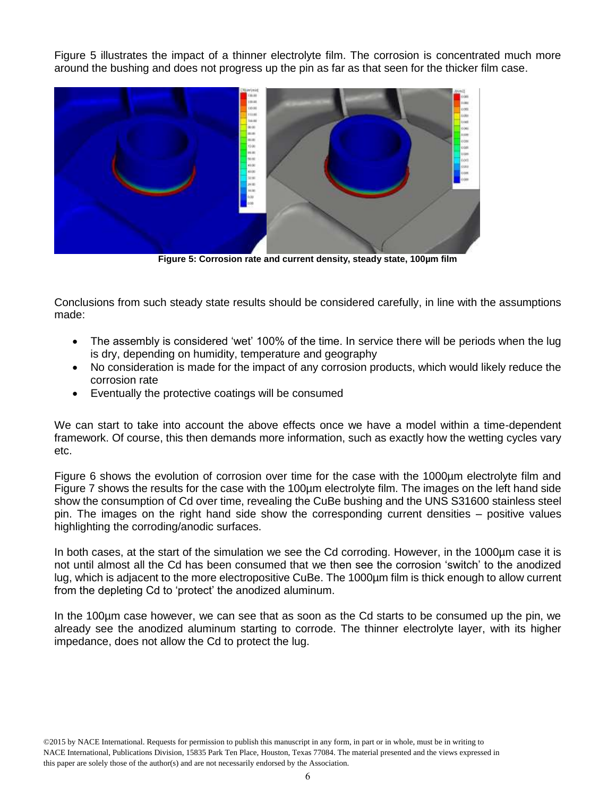Figure 5 illustrates the impact of a thinner electrolyte film. The corrosion is concentrated much more around the bushing and does not progress up the pin as far as that seen for the thicker film case.



**Figure 5: Corrosion rate and current density, steady state, 100µm film**

Conclusions from such steady state results should be considered carefully, in line with the assumptions made:

- The assembly is considered 'wet' 100% of the time. In service there will be periods when the lug is dry, depending on humidity, temperature and geography
- No consideration is made for the impact of any corrosion products, which would likely reduce the corrosion rate
- Eventually the protective coatings will be consumed

We can start to take into account the above effects once we have a model within a time-dependent framework. Of course, this then demands more information, such as exactly how the wetting cycles vary etc.

Figure 6 shows the evolution of corrosion over time for the case with the 1000µm electrolyte film and Figure 7 shows the results for the case with the 100µm electrolyte film. The images on the left hand side show the consumption of Cd over time, revealing the CuBe bushing and the UNS S31600 stainless steel pin. The images on the right hand side show the corresponding current densities – positive values highlighting the corroding/anodic surfaces.

In both cases, at the start of the simulation we see the Cd corroding. However, in the 1000µm case it is not until almost all the Cd has been consumed that we then see the corrosion 'switch' to the anodized lug, which is adjacent to the more electropositive CuBe. The 1000µm film is thick enough to allow current from the depleting Cd to 'protect' the anodized aluminum.

In the 100µm case however, we can see that as soon as the Cd starts to be consumed up the pin, we already see the anodized aluminum starting to corrode. The thinner electrolyte layer, with its higher impedance, does not allow the Cd to protect the lug.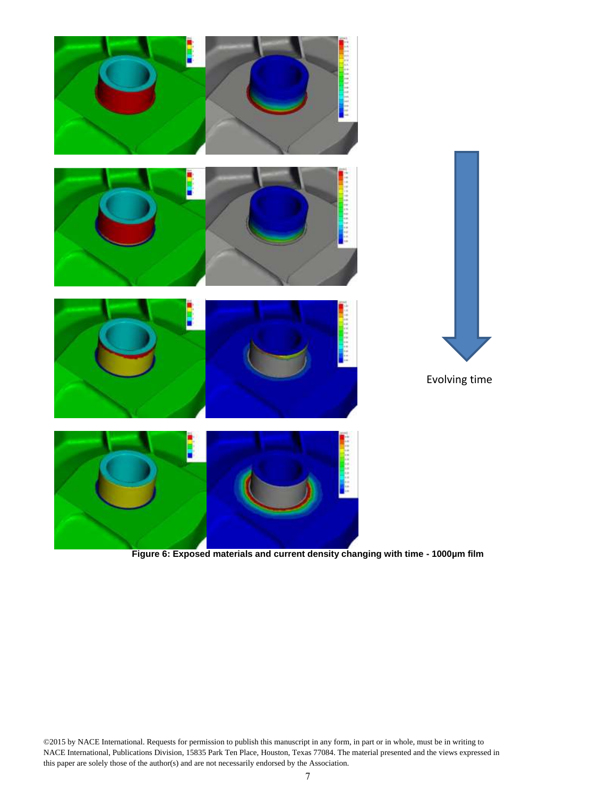

**Figure 6: Exposed materials and current density changing with time - 1000µm film**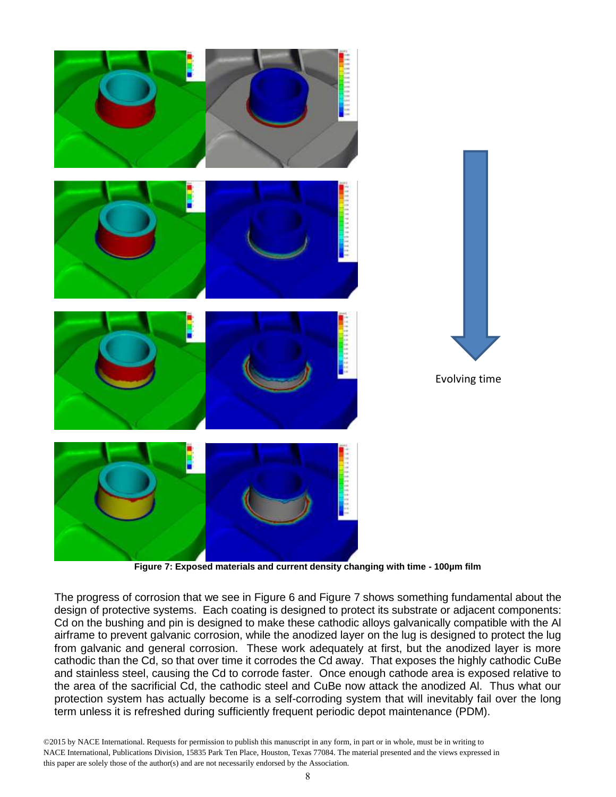

**Figure 7: Exposed materials and current density changing with time - 100µm film**

The progress of corrosion that we see in Figure 6 and Figure 7 shows something fundamental about the design of protective systems. Each coating is designed to protect its substrate or adjacent components: Cd on the bushing and pin is designed to make these cathodic alloys galvanically compatible with the Al airframe to prevent galvanic corrosion, while the anodized layer on the lug is designed to protect the lug from galvanic and general corrosion. These work adequately at first, but the anodized layer is more cathodic than the Cd, so that over time it corrodes the Cd away. That exposes the highly cathodic CuBe and stainless steel, causing the Cd to corrode faster. Once enough cathode area is exposed relative to the area of the sacrificial Cd, the cathodic steel and CuBe now attack the anodized Al. Thus what our protection system has actually become is a self-corroding system that will inevitably fail over the long term unless it is refreshed during sufficiently frequent periodic depot maintenance (PDM).

©2015 by NACE International. Requests for permission to publish this manuscript in any form, in part or in whole, must be in writing to NACE International, Publications Division, 15835 Park Ten Place, Houston, Texas 77084. The material presented and the views expressed in this paper are solely those of the author(s) and are not necessarily endorsed by the Association.